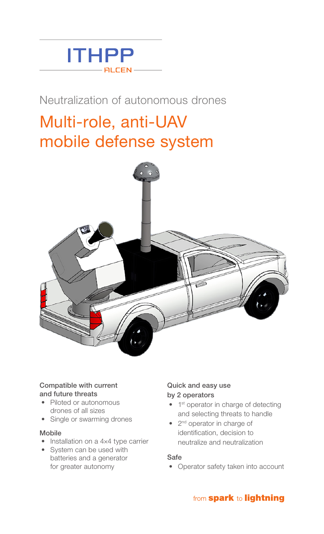

# Neutralization of autonomous drones

# Multi-role, anti-UAV mobile defense system



## Compatible with current and future threats

- Piloted or autonomous drones of all sizes
- Single or swarming drones

## Mobile

- Installation on a 4×4 type carrier
- System can be used with batteries and a generator for greater autonomy

## Quick and easy use by 2 operators

- 1<sup>st</sup> operator in charge of detecting and selecting threats to handle
- 2<sup>nd</sup> operator in charge of identification, decision to neutralize and neutralization

## Safe

• Operator safety taken into account

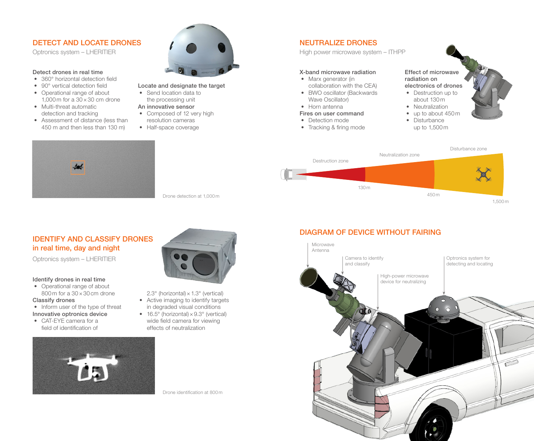# DETECT AND LOCATE DRONES

Optronics system – LHERITIER

#### Detect drones in real time

- 360° horizontal detection field
- 90° vertical detection field
- Operational range of about 1,000 m for a  $30 \times 30$  cm drone
- Multi-threat automatic detection and tracking
- Assessment of distance (less than 450 m and then less than 130 m)



- Locate and designate the target
- Send location data to the processing unit
- An innovative sensor
- Composed of 12 very high resolution cameras
- 
- Half-space coverage

# NEUTRALIZE DRONES

High power microwave system – ITHPP

## X-band microwave radiation

- Marx generator (in collaboration with the CEA)
- BWO oscillator (Backwards Wave Oscillator)
- Horn antenna

## Fires on user command

- Detection mode
- Tracking & firing mode

Effect of microwave radiation on electronics of drones

- Destruction up to about 130 m
- Neutralization
- up to about 450 m
- Disturbance up to 1,500 m



## IDENTIFY AND CLASSIFY DRONES in real time, day and night

Optronics system – LHERITIER

#### Identify drones in real time

- Operational range of about 800 m for a 30×30 cm drone
- Classify drones
- Inform user of the type of threat Innovative optronics device
- CAT-EYE camera for a field of identification of





Drone detection at 1,000 m

- 2.3 $\degree$  (horizontal)  $\times$  1.3 $\degree$  (vertical) • Active imaging to identify targets
- in degraded visual conditions • 16.5 $\degree$  (horizontal)  $\times$  9.3 $\degree$  (vertical)
- wide field camera for viewing effects of neutralization

Drone identification at 800 m

# DIAGRAM OF DEVICE WITHOUT FAIRING